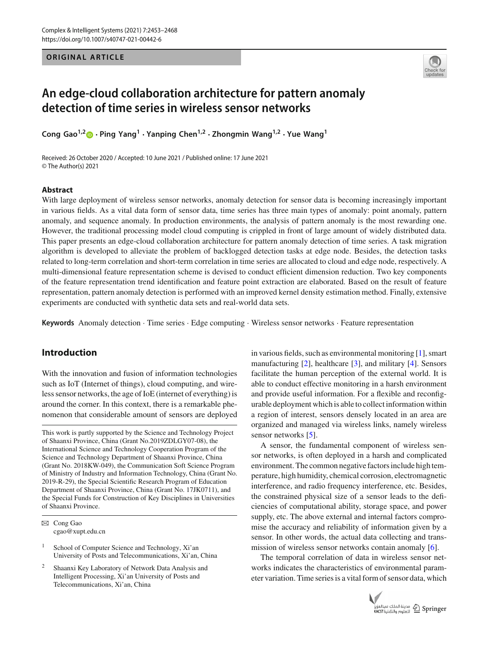**ORIGINAL ARTICLE** 



# **An edge-cloud collaboration architecture for pattern anomaly detection of time series in wireless sensor networks**

**Cong Gao1,[2](http://orcid.org/0000-0001-9829-8025) · Ping Yang<sup>1</sup> · Yanping Chen1,2 · Zhongmin Wang1,2 · Yue Wang<sup>1</sup>**

Received: 26 October 2020 / Accepted: 10 June 2021 / Published online: 17 June 2021 © The Author(s) 2021

## **Abstract**

With large deployment of wireless sensor networks, anomaly detection for sensor data is becoming increasingly important in various fields. As a vital data form of sensor data, time series has three main types of anomaly: point anomaly, pattern anomaly, and sequence anomaly. In production environments, the analysis of pattern anomaly is the most rewarding one. However, the traditional processing model cloud computing is crippled in front of large amount of widely distributed data. This paper presents an edge-cloud collaboration architecture for pattern anomaly detection of time series. A task migration algorithm is developed to alleviate the problem of backlogged detection tasks at edge node. Besides, the detection tasks related to long-term correlation and short-term correlation in time series are allocated to cloud and edge node, respectively. A multi-dimensional feature representation scheme is devised to conduct efficient dimension reduction. Two key components of the feature representation trend identification and feature point extraction are elaborated. Based on the result of feature representation, pattern anomaly detection is performed with an improved kernel density estimation method. Finally, extensive experiments are conducted with synthetic data sets and real-world data sets.

**Keywords** Anomaly detection · Time series · Edge computing · Wireless sensor networks · Feature representation

# **Introduction**

With the innovation and fusion of information technologies such as IoT (Internet of things), cloud computing, and wireless sensor networks, the age of IoE (internet of everything) is around the corner. In this context, there is a remarkable phenomenon that considerable amount of sensors are deployed

This work is partly supported by the Science and Technology Project of Shaanxi Province, China (Grant No.2019ZDLGY07-08), the International Science and Technology Cooperation Program of the Science and Technology Department of Shaanxi Province, China (Grant No. 2018KW-049), the Communication Soft Science Program of Ministry of Industry and Information Technology, China (Grant No. 2019-R-29), the Special Scientific Research Program of Education Department of Shaanxi Province, China (Grant No. 17JK0711), and the Special Funds for Construction of Key Disciplines in Universities of Shaanxi Province.

B Cong Gao cgao@xupt.edu.cn

<sup>1</sup> School of Computer Science and Technology,  $Xi'$  and University of Posts and Telecommunications, Xi'an, China

<sup>2</sup> Shaanxi Key Laboratory of Network Data Analysis and Intelligent Processing, Xi'an University of Posts and Telecommunications, Xi'an, China

in various fields, such as environmental monitoring [\[1\]](#page-12-0), smart manufacturing [\[2](#page-12-1)], healthcare [\[3](#page-13-0)], and military [\[4\]](#page-13-1). Sensors facilitate the human perception of the external world. It is able to conduct effective monitoring in a harsh environment and provide useful information. For a flexible and reconfigurable deployment which is able to collect information within a region of interest, sensors densely located in an area are organized and managed via wireless links, namely wireless sensor networks [\[5](#page-13-2)].

A sensor, the fundamental component of wireless sensor networks, is often deployed in a harsh and complicated environment. The common negative factors include high temperature, high humidity, chemical corrosion, electromagnetic interference, and radio frequency interference, etc. Besides, the constrained physical size of a sensor leads to the deficiencies of computational ability, storage space, and power supply, etc. The above external and internal factors compromise the accuracy and reliability of information given by a sensor. In other words, the actual data collecting and trans-mission of wireless sensor networks contain anomaly [\[6](#page-13-3)].

The temporal correlation of data in wireless sensor networks indicates the characteristics of environmental parameter variation. Time series is a vital form of sensor data, which

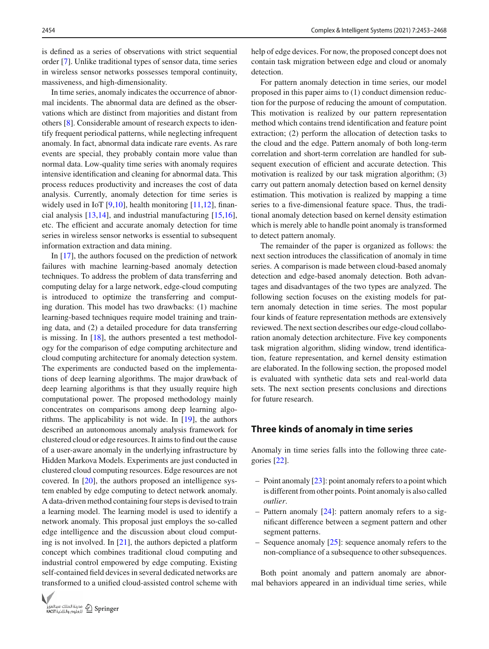is defined as a series of observations with strict sequential order [\[7\]](#page-13-4). Unlike traditional types of sensor data, time series in wireless sensor networks possesses temporal continuity, massiveness, and high-dimensionality.

In time series, anomaly indicates the occurrence of abnormal incidents. The abnormal data are defined as the observations which are distinct from majorities and distant from others [\[8\]](#page-13-5). Considerable amount of research expects to identify frequent periodical patterns, while neglecting infrequent anomaly. In fact, abnormal data indicate rare events. As rare events are special, they probably contain more value than normal data. Low-quality time series with anomaly requires intensive identification and cleaning for abnormal data. This process reduces productivity and increases the cost of data analysis. Currently, anomaly detection for time series is widely used in IoT  $[9,10]$  $[9,10]$ , health monitoring  $[11,12]$  $[11,12]$ , financial analysis  $[13,14]$  $[13,14]$  $[13,14]$ , and industrial manufacturing  $[15,16]$  $[15,16]$  $[15,16]$ , etc. The efficient and accurate anomaly detection for time series in wireless sensor networks is essential to subsequent information extraction and data mining.

In [\[17\]](#page-13-14), the authors focused on the prediction of network failures with machine learning-based anomaly detection techniques. To address the problem of data transferring and computing delay for a large network, edge-cloud computing is introduced to optimize the transferring and computing duration. This model has two drawbacks: (1) machine learning-based techniques require model training and training data, and (2) a detailed procedure for data transferring is missing. In [\[18](#page-13-15)], the authors presented a test methodology for the comparison of edge computing architecture and cloud computing architecture for anomaly detection system. The experiments are conducted based on the implementations of deep learning algorithms. The major drawback of deep learning algorithms is that they usually require high computational power. The proposed methodology mainly concentrates on comparisons among deep learning algorithms. The applicability is not wide. In [\[19](#page-13-16)], the authors described an autonomous anomaly analysis framework for clustered cloud or edge resources. It aims to find out the cause of a user-aware anomaly in the underlying infrastructure by Hidden Markova Models. Experiments are just conducted in clustered cloud computing resources. Edge resources are not covered. In [\[20](#page-13-17)], the authors proposed an intelligence system enabled by edge computing to detect network anomaly. A data-driven method containing four steps is devised to train a learning model. The learning model is used to identify a network anomaly. This proposal just employs the so-called edge intelligence and the discussion about cloud computing is not involved. In  $[21]$  $[21]$ , the authors depicted a platform concept which combines traditional cloud computing and industrial control empowered by edge computing. Existing self-contained field devices in several dedicated networks are transformed to a unified cloud-assisted control scheme with



help of edge devices. For now, the proposed concept does not contain task migration between edge and cloud or anomaly detection.

For pattern anomaly detection in time series, our model proposed in this paper aims to (1) conduct dimension reduction for the purpose of reducing the amount of computation. This motivation is realized by our pattern representation method which contains trend identification and feature point extraction; (2) perform the allocation of detection tasks to the cloud and the edge. Pattern anomaly of both long-term correlation and short-term correlation are handled for subsequent execution of efficient and accurate detection. This motivation is realized by our task migration algorithm; (3) carry out pattern anomaly detection based on kernel density estimation. This motivation is realized by mapping a time series to a five-dimensional feature space. Thus, the traditional anomaly detection based on kernel density estimation which is merely able to handle point anomaly is transformed to detect pattern anomaly.

The remainder of the paper is organized as follows: the next section introduces the classification of anomaly in time series. A comparison is made between cloud-based anomaly detection and edge-based anomaly detection. Both advantages and disadvantages of the two types are analyzed. The following section focuses on the existing models for pattern anomaly detection in time series. The most popular four kinds of feature representation methods are extensively reviewed. The next section describes our edge-cloud collaboration anomaly detection architecture. Five key components task migration algorithm, sliding window, trend identification, feature representation, and kernel density estimation are elaborated. In the following section, the proposed model is evaluated with synthetic data sets and real-world data sets. The next section presents conclusions and directions for future research.

## **Three kinds of anomaly in time series**

Anomaly in time series falls into the following three categories [\[22](#page-13-19)].

- Point anomaly [\[23\]](#page-13-20): point anomaly refers to a point which is different from other points. Point anomaly is also called *outlier*.
- Pattern anomaly [\[24](#page-13-21)]: pattern anomaly refers to a significant difference between a segment pattern and other segment patterns.
- Sequence anomaly [\[25\]](#page-13-22): sequence anomaly refers to the non-compliance of a subsequence to other subsequences.

Both point anomaly and pattern anomaly are abnormal behaviors appeared in an individual time series, while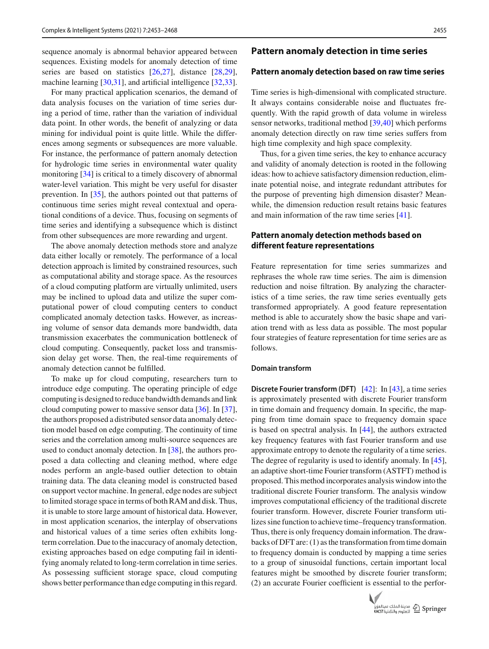sequence anomaly is abnormal behavior appeared between sequences. Existing models for anomaly detection of time series are based on statistics [\[26](#page-13-23)[,27\]](#page-13-24), distance [\[28](#page-13-25)[,29](#page-13-26)], machine learning [\[30](#page-13-27)[,31](#page-13-28)], and artificial intelligence [\[32](#page-13-29)[,33](#page-13-30)].

For many practical application scenarios, the demand of data analysis focuses on the variation of time series during a period of time, rather than the variation of individual data point. In other words, the benefit of analyzing or data mining for individual point is quite little. While the differences among segments or subsequences are more valuable. For instance, the performance of pattern anomaly detection for hydrologic time series in environmental water quality monitoring [\[34\]](#page-13-31) is critical to a timely discovery of abnormal water-level variation. This might be very useful for disaster prevention. In [\[35](#page-13-32)], the authors pointed out that patterns of continuous time series might reveal contextual and operational conditions of a device. Thus, focusing on segments of time series and identifying a subsequence which is distinct from other subsequences are more rewarding and urgent.

The above anomaly detection methods store and analyze data either locally or remotely. The performance of a local detection approach is limited by constrained resources, such as computational ability and storage space. As the resources of a cloud computing platform are virtually unlimited, users may be inclined to upload data and utilize the super computational power of cloud computing centers to conduct complicated anomaly detection tasks. However, as increasing volume of sensor data demands more bandwidth, data transmission exacerbates the communication bottleneck of cloud computing. Consequently, packet loss and transmission delay get worse. Then, the real-time requirements of anomaly detection cannot be fulfilled.

To make up for cloud computing, researchers turn to introduce edge computing. The operating principle of edge computing is designed to reduce bandwidth demands and link cloud computing power to massive sensor data [\[36](#page-13-33)]. In [\[37](#page-13-34)], the authors proposed a distributed sensor data anomaly detection model based on edge computing. The continuity of time series and the correlation among multi-source sequences are used to conduct anomaly detection. In [\[38\]](#page-13-35), the authors proposed a data collecting and cleaning method, where edge nodes perform an angle-based outlier detection to obtain training data. The data cleaning model is constructed based on support vector machine. In general, edge nodes are subject to limited storage space in terms of both RAM and disk. Thus, it is unable to store large amount of historical data. However, in most application scenarios, the interplay of observations and historical values of a time series often exhibits longterm correlation. Due to the inaccuracy of anomaly detection, existing approaches based on edge computing fail in identifying anomaly related to long-term correlation in time series. As possessing sufficient storage space, cloud computing shows better performance than edge computing in this regard.

## **Pattern anomaly detection in time series**

#### **Pattern anomaly detection based on raw time series**

Time series is high-dimensional with complicated structure. It always contains considerable noise and fluctuates frequently. With the rapid growth of data volume in wireless sensor networks, traditional method [\[39](#page-13-36)[,40](#page-13-37)] which performs anomaly detection directly on raw time series suffers from high time complexity and high space complexity.

Thus, for a given time series, the key to enhance accuracy and validity of anomaly detection is rooted in the following ideas: how to achieve satisfactory dimension reduction, eliminate potential noise, and integrate redundant attributes for the purpose of preventing high dimension disaster? Meanwhile, the dimension reduction result retains basic features and main information of the raw time series [\[41](#page-14-0)].

# **Pattern anomaly detection methods based on different feature representations**

Feature representation for time series summarizes and rephrases the whole raw time series. The aim is dimension reduction and noise filtration. By analyzing the characteristics of a time series, the raw time series eventually gets transformed appropriately. A good feature representation method is able to accurately show the basic shape and variation trend with as less data as possible. The most popular four strategies of feature representation for time series are as follows.

#### **Domain transform**

**Discrete Fourier transform (DFT)** [\[42\]](#page-14-1): In [\[43\]](#page-14-2), a time series is approximately presented with discrete Fourier transform in time domain and frequency domain. In specific, the mapping from time domain space to frequency domain space is based on spectral analysis. In [\[44](#page-14-3)], the authors extracted key frequency features with fast Fourier transform and use approximate entropy to denote the regularity of a time series. The degree of regularity is used to identify anomaly. In [\[45](#page-14-4)], an adaptive short-time Fourier transform (ASTFT) method is proposed. This method incorporates analysis window into the traditional discrete Fourier transform. The analysis window improves computational efficiency of the traditional discrete fourier transform. However, discrete Fourier transform utilizes sine function to achieve time–frequency transformation. Thus, there is only frequency domain information. The drawbacks of DFT are: (1) as the transformation from time domain to frequency domain is conducted by mapping a time series to a group of sinusoidal functions, certain important local features might be smoothed by discrete fourier transform; (2) an accurate Fourier coefficient is essential to the perfor-

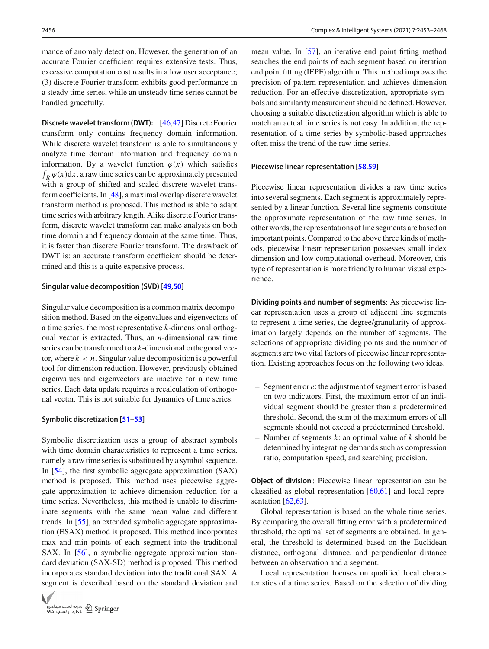mance of anomaly detection. However, the generation of an accurate Fourier coefficient requires extensive tests. Thus, excessive computation cost results in a low user acceptance; (3) discrete Fourier transform exhibits good performance in a steady time series, while an unsteady time series cannot be handled gracefully.

**Discrete wavelet transform (DWT):** [\[46](#page-14-5)[,47](#page-14-6)] Discrete Fourier transform only contains frequency domain information. While discrete wavelet transform is able to simultaneously analyze time domain information and frequency domain information. By a wavelet function  $\varphi(x)$  which satisfies  $\int_R \varphi(x) dx$ , a raw time series can be approximately presented with a group of shifted and scaled discrete wavelet transform coefficients. In [\[48\]](#page-14-7), a maximal overlap discrete wavelet transform method is proposed. This method is able to adapt time series with arbitrary length. Alike discrete Fourier transform, discrete wavelet transform can make analysis on both time domain and frequency domain at the same time. Thus, it is faster than discrete Fourier transform. The drawback of DWT is: an accurate transform coefficient should be determined and this is a quite expensive process.

#### **Singular value decomposition (SVD) [\[49](#page-14-8)[,50](#page-14-9)]**

Singular value decomposition is a common matrix decomposition method. Based on the eigenvalues and eigenvectors of a time series, the most representative *k*-dimensional orthogonal vector is extracted. Thus, an *n*-dimensional raw time series can be transformed to a *k*-dimensional orthogonal vector, where  $k < n$ . Singular value decomposition is a powerful tool for dimension reduction. However, previously obtained eigenvalues and eigenvectors are inactive for a new time series. Each data update requires a recalculation of orthogonal vector. This is not suitable for dynamics of time series.

#### **Symbolic discretization [\[51](#page-14-10)[–53\]](#page-14-11)**

Symbolic discretization uses a group of abstract symbols with time domain characteristics to represent a time series, namely a raw time series is substituted by a symbol sequence. In [\[54\]](#page-14-12), the first symbolic aggregate approximation (SAX) method is proposed. This method uses piecewise aggregate approximation to achieve dimension reduction for a time series. Nevertheless, this method is unable to discriminate segments with the same mean value and different trends. In [\[55\]](#page-14-13), an extended symbolic aggregate approximation (ESAX) method is proposed. This method incorporates max and min points of each segment into the traditional SAX. In [\[56\]](#page-14-14), a symbolic aggregate approximation standard deviation (SAX-SD) method is proposed. This method incorporates standard deviation into the traditional SAX. A segment is described based on the standard deviation and



mean value. In [\[57\]](#page-14-15), an iterative end point fitting method searches the end points of each segment based on iteration end point fitting (IEPF) algorithm. This method improves the precision of pattern representation and achieves dimension reduction. For an effective discretization, appropriate symbols and similarity measurement should be defined. However, choosing a suitable discretization algorithm which is able to match an actual time series is not easy. In addition, the representation of a time series by symbolic-based approaches often miss the trend of the raw time series.

#### **Piecewise linear representation [\[58](#page-14-16)[,59\]](#page-14-17)**

Piecewise linear representation divides a raw time series into several segments. Each segment is approximately represented by a linear function. Several line segments constitute the approximate representation of the raw time series. In other words, the representations of line segments are based on important points. Compared to the above three kinds of methods, piecewise linear representation possesses small index dimension and low computational overhead. Moreover, this type of representation is more friendly to human visual experience.

**Dividing points and number of segments**: As piecewise linear representation uses a group of adjacent line segments to represent a time series, the degree/granularity of approximation largely depends on the number of segments. The selections of appropriate dividing points and the number of segments are two vital factors of piecewise linear representation. Existing approaches focus on the following two ideas.

- Segment error *e*: the adjustment of segment error is based on two indicators. First, the maximum error of an individual segment should be greater than a predetermined threshold. Second, the sum of the maximum errors of all segments should not exceed a predetermined threshold.
- Number of segments *k*: an optimal value of *k* should be determined by integrating demands such as compression ratio, computation speed, and searching precision.

**Object of division**: Piecewise linear representation can be classified as global representation [\[60](#page-14-18)[,61\]](#page-14-19) and local representation  $[62, 63]$  $[62, 63]$ .

Global representation is based on the whole time series. By comparing the overall fitting error with a predetermined threshold, the optimal set of segments are obtained. In general, the threshold is determined based on the Euclidean distance, orthogonal distance, and perpendicular distance between an observation and a segment.

Local representation focuses on qualified local characteristics of a time series. Based on the selection of dividing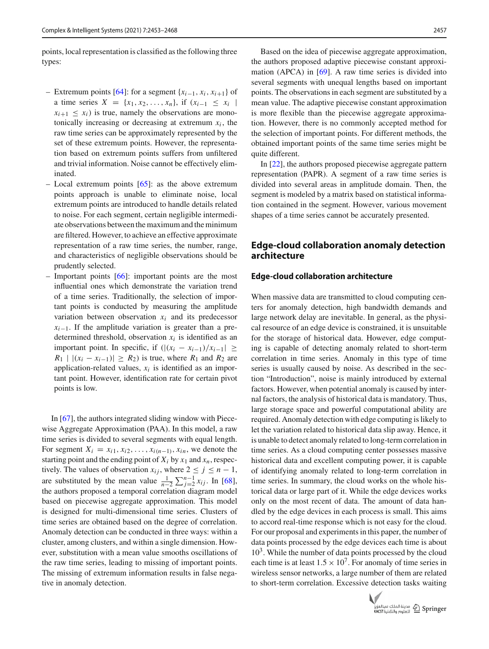points, local representation is classified as the following three types:

- Extremum points [\[64\]](#page-14-22): for a segment {*xi*−1, *xi*, *xi*+1} of a time series  $X = \{x_1, x_2, ..., x_n\}$ , if  $(x_{i-1} \leq x_i)$  $x_{i+1} \leq x_i$  is true, namely the observations are monotonically increasing or decreasing at extremum  $x_i$ , the raw time series can be approximately represented by the set of these extremum points. However, the representation based on extremum points suffers from unfiltered and trivial information. Noise cannot be effectively eliminated.
- Local extremum points  $[65]$  $[65]$ : as the above extremum points approach is unable to eliminate noise, local extremum points are introduced to handle details related to noise. For each segment, certain negligible intermediate observations between the maximum and the minimum are filtered. However, to achieve an effective approximate representation of a raw time series, the number, range, and characteristics of negligible observations should be prudently selected.
- Important points [\[66](#page-14-24)]: important points are the most influential ones which demonstrate the variation trend of a time series. Traditionally, the selection of important points is conducted by measuring the amplitude variation between observation  $x_i$  and its predecessor  $x<sub>i-1</sub>$ . If the amplitude variation is greater than a predetermined threshold, observation  $x_i$  is identified as an important point. In specific, if  $(|(x_i - x_{i-1})/x_{i-1}| \geq$ *R*<sub>1</sub> |  $|(x_i - x_{i-1})|$  ≥ *R*<sub>2</sub>) is true, where *R*<sub>1</sub> and *R*<sub>2</sub> are application-related values,  $x_i$  is identified as an important point. However, identification rate for certain pivot points is low.

In [\[67](#page-14-25)], the authors integrated sliding window with Piecewise Aggregate Approximation (PAA). In this model, a raw time series is divided to several segments with equal length. For segment  $X_i = x_{i1}, x_{i2}, \ldots, x_{i(n-1)}, x_{in}$ , we denote the starting point and the ending point of  $X_i$  by  $x_1$  and  $x_n$ , respectively. The values of observation  $x_{ij}$ , where  $2 \leq j \leq n - 1$ , are substituted by the mean value  $\frac{1}{n-2} \sum_{j=2}^{n-1} x_{ij}$ . In [\[68](#page-14-26)], the authors proposed a temporal correlation diagram model based on piecewise aggregate approximation. This model is designed for multi-dimensional time series. Clusters of time series are obtained based on the degree of correlation. Anomaly detection can be conducted in three ways: within a cluster, among clusters, and within a single dimension. However, substitution with a mean value smooths oscillations of the raw time series, leading to missing of important points. The missing of extremum information results in false negative in anomaly detection.

Based on the idea of piecewise aggregate approximation, the authors proposed adaptive piecewise constant approximation (APCA) in [\[69\]](#page-14-27). A raw time series is divided into several segments with unequal lengths based on important points. The observations in each segment are substituted by a mean value. The adaptive piecewise constant approximation is more flexible than the piecewise aggregate approximation. However, there is no commonly accepted method for the selection of important points. For different methods, the obtained important points of the same time series might be quite different.

In [\[22](#page-13-19)], the authors proposed piecewise aggregate pattern representation (PAPR). A segment of a raw time series is divided into several areas in amplitude domain. Then, the segment is modeled by a matrix based on statistical information contained in the segment. However, various movement shapes of a time series cannot be accurately presented.

# **Edge-cloud collaboration anomaly detection architecture**

## **Edge-cloud collaboration architecture**

When massive data are transmitted to cloud computing centers for anomaly detection, high bandwidth demands and large network delay are inevitable. In general, as the physical resource of an edge device is constrained, it is unsuitable for the storage of historical data. However, edge computing is capable of detecting anomaly related to short-term correlation in time series. Anomaly in this type of time series is usually caused by noise. As described in the section "Introduction", noise is mainly introduced by external factors. However, when potential anomaly is caused by internal factors, the analysis of historical data is mandatory. Thus, large storage space and powerful computational ability are required. Anomaly detection with edge computing is likely to let the variation related to historical data slip away. Hence, it is unable to detect anomaly related to long-term correlation in time series. As a cloud computing center possesses massive historical data and excellent computing power, it is capable of identifying anomaly related to long-term correlation in time series. In summary, the cloud works on the whole historical data or large part of it. While the edge devices works only on the most recent of data. The amount of data handled by the edge devices in each process is small. This aims to accord real-time response which is not easy for the cloud. For our proposal and experiments in this paper, the number of data points processed by the edge devices each time is about  $10<sup>3</sup>$ . While the number of data points processed by the cloud each time is at least  $1.5 \times 10^7$ . For anomaly of time series in wireless sensor networks, a large number of them are related to short-term correlation. Excessive detection tasks waiting

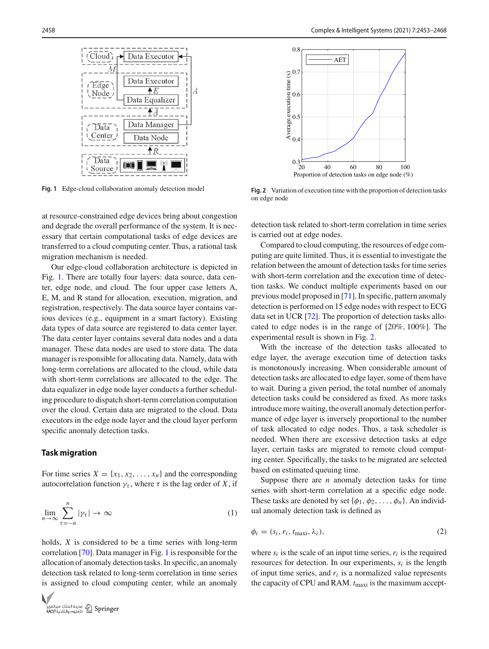



<span id="page-5-0"></span>**Fig. 1** Edge-cloud collaboration anomaly detection model

at resource-constrained edge devices bring about congestion and degrade the overall performance of the system. It is necessary that certain computational tasks of edge devices are transferred to a cloud computing center. Thus, a rational task migration mechanism is needed.

Our edge-cloud collaboration architecture is depicted in Fig. [1.](#page-5-0) There are totally four layers: data source, data center, edge node, and cloud. The four upper case letters A, E, M, and R stand for allocation, execution, migration, and registration, respectively. The data source layer contains various devices (e.g., equipment in a smart factory). Existing data types of data source are registered to data center layer. The data center layer contains several data nodes and a data manager. These data nodes are used to store data. The data manager is responsible for allocating data. Namely, data with long-term correlations are allocated to the cloud, while data with short-term correlations are allocated to the edge. The data equalizer in edge node layer conducts a further scheduling procedure to dispatch short-term correlation computation over the cloud. Certain data are migrated to the cloud. Data executors in the edge node layer and the cloud layer perform specific anomaly detection tasks.

## **Task migration**

For time series  $X = \{x_1, x_2, \ldots, x_n\}$  and the corresponding autocorrelation function  $\gamma_{\tau}$ , where  $\tau$  is the lag order of *X*, if

$$
\lim_{n \to \infty} \sum_{\tau = -n}^{n} |\gamma_{\tau}| \to \infty \tag{1}
$$

holds, *X* is considered to be a time series with long-term correlation [\[70](#page-14-28)]. Data manager in Fig. [1](#page-5-0) is responsible for the allocation of anomaly detection tasks. In specific, an anomaly detection task related to long-term correlation in time series is assigned to cloud computing center, while an anomaly





<span id="page-5-1"></span>**Fig. 2** Variation of execution time with the proportion of detection tasks on edge node

detection task related to short-term correlation in time series is carried out at edge nodes.

Compared to cloud computing, the resources of edge computing are quite limited. Thus, it is essential to investigate the relation between the amount of detection tasks for time series with short-term correlation and the execution time of detection tasks. We conduct multiple experiments based on our previous model proposed in [\[71\]](#page-14-29). In specific, pattern anomaly detection is performed on 15 edge nodes with respect to ECG data set in UCR [\[72](#page-14-30)]. The proportion of detection tasks allocated to edge nodes is in the range of [20%, 100%]. The experimental result is shown in Fig. [2.](#page-5-1)

With the increase of the detection tasks allocated to edge layer, the average execution time of detection tasks is monotonously increasing. When considerable amount of detection tasks are allocated to edge layer, some of them have to wait. During a given period, the total number of anomaly detection tasks could be considered as fixed. As more tasks introduce more waiting, the overall anomaly detection performance of edge layer is inversely proportional to the number of task allocated to edge nodes. Thus, a task scheduler is needed. When there are excessive detection tasks at edge layer, certain tasks are migrated to remote cloud computing center. Specifically, the tasks to be migrated are selected based on estimated queuing time.

Suppose there are *n* anomaly detection tasks for time series with short-term correlation at a specific edge node. These tasks are denoted by set  $\{\phi_1, \phi_2, \dots, \phi_n\}$ . An individual anomaly detection task is defined as

$$
\phi_i = (s_i, r_i, t_{\text{max}i}, \lambda_i), \tag{2}
$$

where  $s_i$  is the scale of an input time series,  $r_i$  is the required resources for detection. In our experiments,  $s_i$  is the length of input time series, and  $r_i$  is a normalized value represents the capacity of CPU and RAM. *t*maxi is the maximum accept-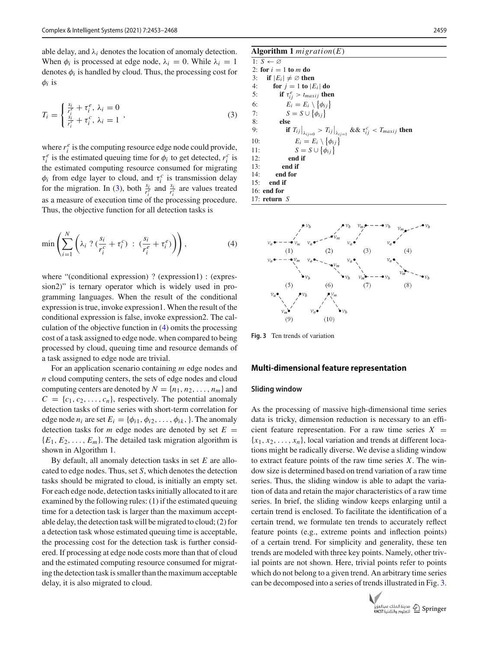able delay, and  $\lambda_i$  denotes the location of anomaly detection. When  $\phi_i$  is processed at edge node,  $\lambda_i = 0$ . While  $\lambda_i = 1$ denotes  $\phi_i$  is handled by cloud. Thus, the processing cost for  $\phi_i$  is

<span id="page-6-0"></span>
$$
T_i = \begin{cases} \frac{s_i}{r_i^e} + \tau_i^e, \ \lambda_i = 0\\ \frac{s_i}{r_i^e} + \tau_i^c, \ \lambda_i = 1 \end{cases},
$$
 (3)

where  $r_i^e$  is the computing resource edge node could provide,  $\tau_i^e$  is the estimated queuing time for  $\phi_i$  to get detected,  $r_i^c$  is the estimated computing resource consumed for migrating  $\phi_i$  from edge layer to cloud, and  $\tau_i^c$  is transmission delay for the migration. In [\(3\)](#page-6-0), both  $\frac{s_i}{r_i^e}$  and  $\frac{s_i}{r_i^e}$  are values treated as a measure of execution time of the processing procedure. Thus, the objective function for all detection tasks is

$$
\min\left(\sum_{i=1}^N \left(\lambda_i \; ? \; (\frac{s_i}{r_i^c} + \tau_i^c) \; : \; (\frac{s_i}{r_i^e} + \tau_i^e)\right)\right),\tag{4}
$$

where "(conditional expression) ? (expression1) : (expression2)" is ternary operator which is widely used in programming languages. When the result of the conditional expression is true, invoke expression1. When the result of the conditional expression is false, invoke expression2. The calculation of the objective function in [\(4\)](#page-6-1) omits the processing cost of a task assigned to edge node. when compared to being processed by cloud, queuing time and resource demands of a task assigned to edge node are trivial.

For an application scenario containing *m* edge nodes and *n* cloud computing centers, the sets of edge nodes and cloud computing centers are denoted by  $N = \{n_1, n_2, \ldots, n_m\}$  and  $C = \{c_1, c_2, \ldots, c_n\}$ , respectively. The potential anomaly detection tasks of time series with short-term correlation for edge node  $n_i$  are set  $E_i = \{\phi_{i1}, \phi_{i2}, \dots, \phi_{ik}\}\)$ . The anomaly detection tasks for *m* edge nodes are denoted by set  $E =$  ${E_1, E_2, \ldots, E_m}$ . The detailed task migration algorithm is shown in Algorithm [1.](#page-6-2)

By default, all anomaly detection tasks in set *E* are allocated to edge nodes. Thus, set *S*, which denotes the detection tasks should be migrated to cloud, is initially an empty set. For each edge node, detection tasks initially allocated to it are examined by the following rules: (1) if the estimated queuing time for a detection task is larger than the maximum acceptable delay, the detection task will be migrated to cloud; (2) for a detection task whose estimated queuing time is acceptable, the processing cost for the detection task is further considered. If processing at edge node costs more than that of cloud and the estimated computing resource consumed for migrating the detection task is smaller than the maximum acceptable delay, it is also migrated to cloud.

#### <span id="page-6-2"></span>**Algorithm 1** *migration*(*E*)

1:  $S \leftarrow \emptyset$ 2: **for**  $i = 1$  **to**  $m$  **do**<br>3: **if**  $|E_i| \neq \emptyset$  **then** 3: **if**  $|E_i| \neq \emptyset$  **then**<br>4: **for**  $j = 1$  **to**  $|E|$ 4: **for**  $j = 1$  **to**  $|E_i|$  **do**<br>5: **if**  $\tau_{ii}^e > t_{maxij}$  **the** 5: **if**  $\tau_{ij}^e > t_{maxij}$  **then** 6:  $E_i = E_i \setminus \{\phi_{ij}\}\$ 7:  $S = S \cup \{\phi_{ij}\}\$ 8: **else** 9: **if**  $T_{ij}\Big|_{\lambda_{ij=0}} > T_{ij}\Big|_{\lambda_{ij=1}}$  &&  $\tau_{ij}^c < T_{maxij}$  then 10:  $E_i = E_i \setminus \{\phi_{ij}\}\$ 11:  $S = S \cup \{\phi_{ij}\}\$ 12: **end if** 13: **end if** 14: **end for** 15: **end if** 16: **end for** 17: **return** *S*

<span id="page-6-1"></span>

<span id="page-6-3"></span>**Fig. 3** Ten trends of variation

#### **Multi-dimensional feature representation**

#### **Sliding window**

As the processing of massive high-dimensional time series data is tricky, dimension reduction is necessary to an efficient feature representation. For a raw time series  $X =$  ${x_1, x_2, \ldots, x_n}$ , local variation and trends at different locations might be radically diverse. We devise a sliding window to extract feature points of the raw time series *X*. The window size is determined based on trend variation of a raw time series. Thus, the sliding window is able to adapt the variation of data and retain the major characteristics of a raw time series. In brief, the sliding window keeps enlarging until a certain trend is enclosed. To facilitate the identification of a certain trend, we formulate ten trends to accurately reflect feature points (e.g., extreme points and inflection points) of a certain trend. For simplicity and generality, these ten trends are modeled with three key points. Namely, other trivial points are not shown. Here, trivial points refer to points which do not belong to a given trend. An arbitrary time series can be decomposed into a series of trends illustrated in Fig. [3.](#page-6-3)

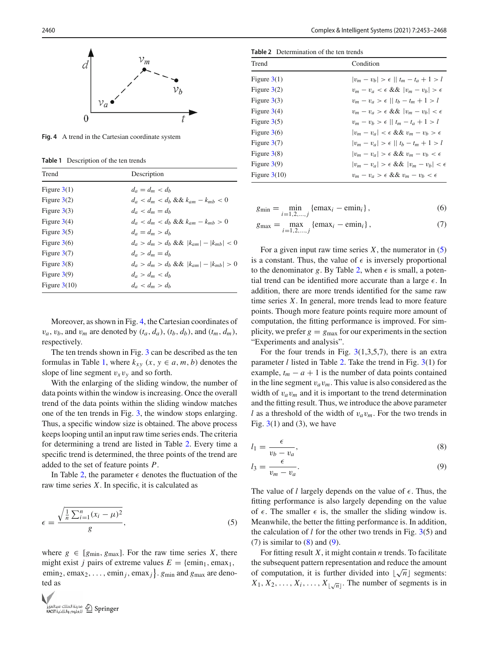

<span id="page-7-0"></span>**Fig. 4** A trend in the Cartesian coordinate system

<span id="page-7-1"></span>**Table 1** Description of the ten trends

| Trend          | Description                                    |
|----------------|------------------------------------------------|
| Figure $3(1)$  | $d_a = d_m < d_b$                              |
| Figure $3(2)$  | $d_a < d_m < d_b \&\& k_{am} - k_{mh} < 0$     |
| Figure $3(3)$  | $d_a < d_m = d_b$                              |
| Figure $3(4)$  | $d_a < d_m < d_b \&\& k_{am} - k_{mh} > 0$     |
| Figure $3(5)$  | $d_a = d_m > d_b$                              |
| Figure $3(6)$  | $d_a > d_m > d_b \&\&  k_{am}  -  k_{mh}  < 0$ |
| Figure $3(7)$  | $d_a > d_m = d_h$                              |
| Figure $3(8)$  | $d_a > d_m > d_b \&\&  k_{am}  -  k_{mh}  > 0$ |
| Figure $3(9)$  | $d_a > d_m < d_b$                              |
| Figure $3(10)$ | $d_a < d_m > d_b$                              |
|                |                                                |

Moreover, as shown in Fig. [4,](#page-7-0) the Cartesian coordinates of  $v_a$ ,  $v_b$ , and  $v_m$  are denoted by  $(t_a, d_a)$ ,  $(t_b, d_b)$ , and  $(t_m, d_m)$ , respectively.

The ten trends shown in Fig. [3](#page-6-3) can be described as the ten formulas in Table [1,](#page-7-1) where  $k_{xy}$   $(x, y \in a, m, b)$  denotes the slope of line segment  $v_xv_y$  and so forth.

With the enlarging of the sliding window, the number of data points within the window is increasing. Once the overall trend of the data points within the sliding window matches one of the ten trends in Fig. [3,](#page-6-3) the window stops enlarging. Thus, a specific window size is obtained. The above process keeps looping until an input raw time series ends. The criteria for determining a trend are listed in Table [2.](#page-7-2) Every time a specific trend is determined, the three points of the trend are added to the set of feature points *P*.

In Table [2,](#page-7-2) the parameter  $\epsilon$  denotes the fluctuation of the raw time series *X*. In specific, it is calculated as

$$
\epsilon = \frac{\sqrt{\frac{1}{n}\sum_{i=1}^{n}(x_i - \mu)^2}}{g},\tag{5}
$$

where  $g \in [g_{\text{min}}, g_{\text{max}}]$ . For the raw time series *X*, there might exist *j* pairs of extreme values  $E = \{ \text{emin}_1, \text{emax}_1, \}$ emin<sub>2</sub>, emax<sub>2</sub>, ..., emin<sub>j</sub>, emax<sub>j</sub> } *g*<sub>min</sub> and *g*<sub>max</sub> are denoted as



**Table 2** Determination of the ten trends

<span id="page-7-2"></span>

| Trend          | Condition                                           |
|----------------|-----------------------------------------------------|
| Figure $3(1)$  | $ v_m - v_b  > \epsilon$    $t_m - t_a + 1 > l$     |
| Figure $3(2)$  | $v_m - v_a < \epsilon \&\&\  v_m - v_b  > \epsilon$ |
| Figure $3(3)$  | $v_m - v_a > \epsilon$    $t_b - t_m + 1 > l$       |
| Figure $3(4)$  | $v_m - v_a > \epsilon \&\& v_m - v_b  < \epsilon$   |
| Figure $3(5)$  | $v_m - v_b > \epsilon$    $t_m - t_a + 1 > l$       |
| Figure $3(6)$  | $ v_m - v_a  < \epsilon \&\& v_m - v_b > \epsilon$  |
| Figure $3(7)$  | $ v_m - v_a  > \epsilon$    $t_b - t_m + 1 > l$     |
| Figure $3(8)$  | $ v_m - v_a  > \epsilon \&\& v_m - v_h < \epsilon$  |
| Figure $3(9)$  | $ v_m - v_a  > \epsilon \&\& v_m - v_b  < \epsilon$ |
| Figure $3(10)$ | $v_m - v_a > \epsilon \&\& v_m - v_b < \epsilon$    |

$$
g_{\min} = \min_{i=1,2,...,j} \{ \text{emax}_i - \text{emin}_i \},\tag{6}
$$

$$
g_{\max} = \max_{i=1,2,...,j} \{ \text{ema} x_i - \text{emin}_i \}, \tag{7}
$$

For a given input raw time series  $X$ , the numerator in  $(5)$ is a constant. Thus, the value of  $\epsilon$  is inversely proportional to the denominator *g*. By Table [2,](#page-7-2) when  $\epsilon$  is small, a potential trend can be identified more accurate than a large  $\epsilon$ . In addition, there are more trends identified for the same raw time series *X*. In general, more trends lead to more feature points. Though more feature points require more amount of computation, the fitting performance is improved. For simplicity, we prefer  $g = g_{\text{max}}$  for our experiments in the section "Experiments and analysis".

For the four trends in Fig.  $3(1,3,5,7)$  $3(1,3,5,7)$ , there is an extra parameter *l* listed in Table [2.](#page-7-2) Take the trend in Fig. [3\(](#page-6-3)1) for example,  $t_m - a + 1$  is the number of data points contained in the line segment v*a*v*m*. This value is also considered as the width of  $v_a v_m$  and it is important to the trend determination and the fitting result. Thus, we introduce the above parameter *l* as a threshold of the width of  $v_a v_m$ . For the two trends in Fig.  $3(1)$  $3(1)$  and (3), we have

<span id="page-7-4"></span>
$$
l_1 = \frac{\epsilon}{v_b - v_a},\tag{8}
$$

$$
l_3 = \frac{\epsilon}{v_m - v_a}.\tag{9}
$$

<span id="page-7-3"></span>The value of  $l$  largely depends on the value of  $\epsilon$ . Thus, the fitting performance is also largely depending on the value of  $\epsilon$ . The smaller  $\epsilon$  is, the smaller the sliding window is. Meanwhile, the better the fitting performance is. In addition, the calculation of  $l$  for the other two trends in Fig.  $3(5)$  $3(5)$  and  $(7)$  is similar to  $(8)$  and  $(9)$ .

For fitting result *X*, it might contain *n* trends. To facilitate the subsequent pattern representation and reduce the amount of computation, it is further divided into  $\lfloor \sqrt{n} \rfloor$  segments:  $X_1, X_2, \ldots, X_i, \ldots, X_{\lfloor \sqrt{n} \rfloor}$ . The number of segments is in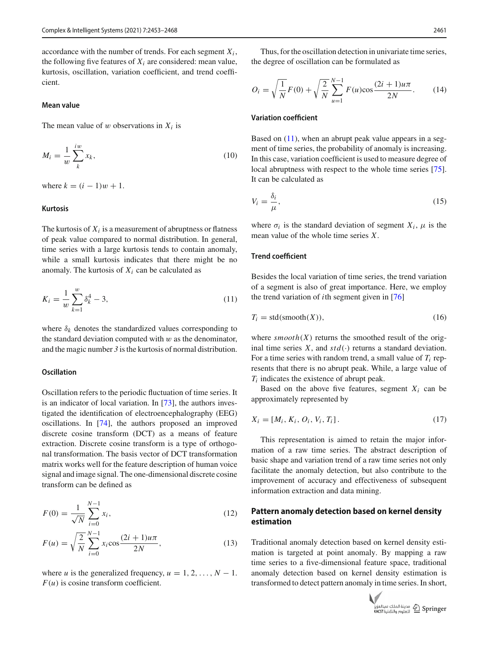accordance with the number of trends. For each segment  $X_i$ , the following five features of  $X_i$  are considered: mean value, kurtosis, oscillation, variation coefficient, and trend coefficient.

#### **Mean value**

The mean value of  $w$  observations in  $X_i$  is

$$
M_i = \frac{1}{w} \sum_{k}^{iw} x_k,
$$
\n<sup>(10)</sup>

where  $k = (i - 1)w + 1$ .

#### **Kurtosis**

The kurtosis of  $X_i$  is a measurement of abruptness or flatness of peak value compared to normal distribution. In general, time series with a large kurtosis tends to contain anomaly, while a small kurtosis indicates that there might be no anomaly. The kurtosis of  $X_i$  can be calculated as

$$
K_i = \frac{1}{w} \sum_{k=1}^{w} \delta_k^4 - 3,
$$
\n(11)

where  $\delta_k$  denotes the standardized values corresponding to the standard deviation computed with  $w$  as the denominator, and the magic number *3* is the kurtosis of normal distribution.

#### **Oscillation**

Oscillation refers to the periodic fluctuation of time series. It is an indicator of local variation. In [\[73](#page-14-31)], the authors investigated the identification of electroencephalography (EEG) oscillations. In [\[74](#page-15-0)], the authors proposed an improved discrete cosine transform (DCT) as a means of feature extraction. Discrete cosine transform is a type of orthogonal transformation. The basis vector of DCT transformation matrix works well for the feature description of human voice signal and image signal. The one-dimensional discrete cosine transform can be defined as

$$
F(0) = \frac{1}{\sqrt{N}} \sum_{i=0}^{N-1} x_i,
$$
\n(12)

$$
F(u) = \sqrt{\frac{2}{N}} \sum_{i=0}^{N-1} x_i \cos \frac{(2i+1)u\pi}{2N},
$$
\n(13)

where *u* is the generalized frequency,  $u = 1, 2, \ldots, N - 1$ .  $F(u)$  is cosine transform coefficient.

Thus, for the oscillation detection in univariate time series, the degree of oscillation can be formulated as

$$
O_i = \sqrt{\frac{1}{N}}F(0) + \sqrt{\frac{2}{N}}\sum_{u=1}^{N-1}F(u)\cos\frac{(2i+1)u\pi}{2N}.
$$
 (14)

## **Variation coefficient**

Based on [\(11\)](#page-8-0), when an abrupt peak value appears in a segment of time series, the probability of anomaly is increasing. In this case, variation coefficient is used to measure degree of local abruptness with respect to the whole time series [\[75](#page-15-1)]. It can be calculated as

$$
V_i = \frac{\delta_i}{\mu},\tag{15}
$$

where  $\sigma_i$  is the standard deviation of segment  $X_i$ ,  $\mu$  is the mean value of the whole time series *X*.

## **Trend coefficient**

<span id="page-8-0"></span>Besides the local variation of time series, the trend variation of a segment is also of great importance. Here, we employ the trend variation of *i*th segment given in [\[76](#page-15-2)]

<span id="page-8-1"></span>
$$
T_i = std(smooth(X)), \t(16)
$$

where  $smooth(X)$  returns the smoothed result of the original time series  $X$ , and  $std(·)$  returns a standard deviation. For a time series with random trend, a small value of  $T_i$  represents that there is no abrupt peak. While, a large value of *Ti* indicates the existence of abrupt peak.

Based on the above five features, segment  $X_i$  can be approximately represented by

$$
X_i = [M_i, K_i, O_i, V_i, T_i].
$$
\n(17)

This representation is aimed to retain the major information of a raw time series. The abstract description of basic shape and variation trend of a raw time series not only facilitate the anomaly detection, but also contribute to the improvement of accuracy and effectiveness of subsequent information extraction and data mining.

## **Pattern anomaly detection based on kernel density estimation**

Traditional anomaly detection based on kernel density estimation is targeted at point anomaly. By mapping a raw time series to a five-dimensional feature space, traditional anomaly detection based on kernel density estimation is transformed to detect pattern anomaly in time series. In short,

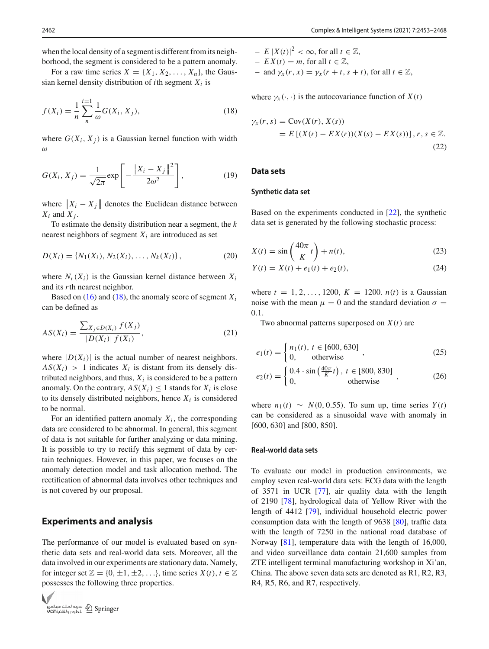when the local density of a segment is different from its neigh-

borhood, the segment is considered to be a pattern anomaly. For a raw time series  $X = \{X_1, X_2, \ldots, X_n\}$ , the Gaussian kernel density distribution of *i*th segment  $X_i$  is

$$
f(X_i) = \frac{1}{n} \sum_{n=1}^{i=1} \frac{1}{\omega} G(X_i, X_j),
$$
 (18)

where  $G(X_i, X_j)$  is a Gaussian kernel function with width ω

$$
G(X_i, X_j) = \frac{1}{\sqrt{2\pi}} \exp\left[-\frac{\|X_i - X_j\|^2}{2\omega^2}\right],
$$
 (19)

where  $||X_i - X_j||$  denotes the Euclidean distance between  $X_i$  and  $X_j$ .

To estimate the density distribution near a segment, the *k* nearest neighbors of segment  $X_i$  are introduced as set

$$
D(X_i) = \{N_1(X_i), N_2(X_i), \dots, N_k(X_i)\},\tag{20}
$$

where  $N_r(X_i)$  is the Gaussian kernel distance between  $X_i$ and its *r*th nearest neighbor.

Based on  $(16)$  and  $(18)$ , the anomaly score of segment  $X_i$ can be defined as

$$
AS(X_i) = \frac{\sum_{X_j \in D(X_i)} f(X_j)}{|D(X_i)| f(X_i)},
$$
\n(21)

where  $|D(X_i)|$  is the actual number of nearest neighbors.  $AS(X_i) > 1$  indicates  $X_i$  is distant from its densely distributed neighbors, and thus,  $X_i$  is considered to be a pattern anomaly. On the contrary,  $AS(X_i) \leq 1$  stands for  $X_i$  is close to its densely distributed neighbors, hence  $X_i$  is considered to be normal.

For an identified pattern anomaly  $X_i$ , the corresponding data are considered to be abnormal. In general, this segment of data is not suitable for further analyzing or data mining. It is possible to try to rectify this segment of data by certain techniques. However, in this paper, we focuses on the anomaly detection model and task allocation method. The rectification of abnormal data involves other techniques and is not covered by our proposal.

## **Experiments and analysis**

The performance of our model is evaluated based on synthetic data sets and real-world data sets. Moreover, all the data involved in our experiments are stationary data. Namely, for integer set  $\mathbb{Z} = \{0, \pm 1, \pm 2, \ldots\}$ , time series  $X(t)$ ,  $t \in \mathbb{Z}$ possesses the following three properties.



- 
$$
E |X(t)|^2 < \infty
$$
, for all  $t \in \mathbb{Z}$ ,  
\n-  $EX(t) = m$ , for all  $t \in \mathbb{Z}$ ,  
\n- and  $\gamma_x(r, x) = \gamma_x(r + t, s + t)$ , for all  $t \in \mathbb{Z}$ ,

<span id="page-9-0"></span>where  $\gamma_x(\cdot, \cdot)$  is the autocovariance function of  $X(t)$ 

$$
\gamma_X(r,s) = \text{Cov}(X(r), X(s))
$$
  
=  $E\left[ (X(r) - EX(r))(X(s) - EX(s)) \right], r, s \in \mathbb{Z}.$  (22)

## **Data sets**

#### **Synthetic data set**

Based on the experiments conducted in [\[22\]](#page-13-19), the synthetic data set is generated by the following stochastic process:

<span id="page-9-1"></span>
$$
X(t) = \sin\left(\frac{40\pi}{K}t\right) + n(t),\tag{23}
$$

$$
Y(t) = X(t) + e_1(t) + e_2(t),
$$
\n(24)

where  $t = 1, 2, ..., 1200, K = 1200, n(t)$  is a Gaussian noise with the mean  $\mu = 0$  and the standard deviation  $\sigma =$ 0.1.

Two abnormal patterns superposed on *X*(*t*) are

$$
e_1(t) = \begin{cases} n_1(t), & t \in [600, 630] \\ 0, & \text{otherwise} \end{cases}
$$
 (25)

$$
e_2(t) = \begin{cases} 0.4 \cdot \sin\left(\frac{40\pi}{K}t\right), \ t \in [800, 830] \\ 0, \t \text{otherwise} \end{cases}, \tag{26}
$$

where  $n_1(t) \sim N(0, 0.55)$ . To sum up, time series  $Y(t)$ can be considered as a sinusoidal wave with anomaly in [600, 630] and [800, 850].

#### **Real-world data sets**

To evaluate our model in production environments, we employ seven real-world data sets: ECG data with the length of 3571 in UCR [\[77](#page-15-3)], air quality data with the length of 2190 [\[78\]](#page-15-4), hydrological data of Yellow River with the length of 4412 [\[79\]](#page-15-5), individual household electric power consumption data with the length of 9638 [\[80](#page-15-6)], traffic data with the length of 7250 in the national road database of Norway [\[81](#page-15-7)], temperature data with the length of 16,000, and video surveillance data contain 21,600 samples from ZTE intelligent terminal manufacturing workshop in Xi'an, China. The above seven data sets are denoted as R1, R2, R3, R4, R5, R6, and R7, respectively.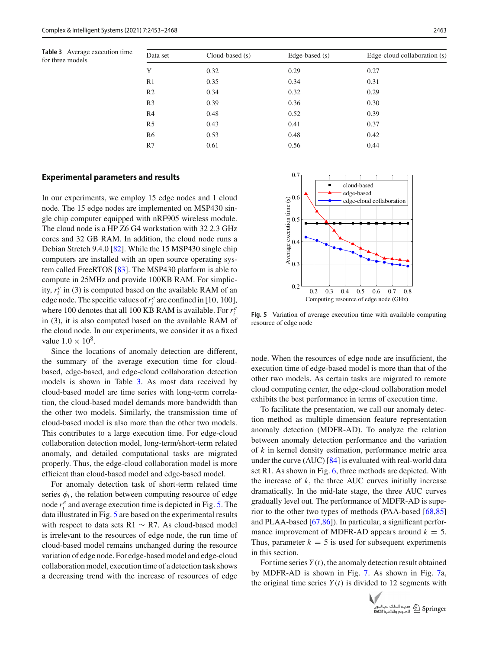**Table 3** Average execution times

<span id="page-10-0"></span>

| Table 3 Average execution time<br>for three models | Data set       | $Cloud-based(s)$ | Edge-based $(s)$ | Edge-cloud collaboration (s) |
|----------------------------------------------------|----------------|------------------|------------------|------------------------------|
|                                                    | Y              | 0.32             | 0.29             | 0.27                         |
|                                                    | R <sub>1</sub> | 0.35             | 0.34             | 0.31                         |
|                                                    | R <sub>2</sub> | 0.34             | 0.32             | 0.29                         |
|                                                    | R <sub>3</sub> | 0.39             | 0.36             | 0.30                         |
|                                                    | R4             | 0.48             | 0.52             | 0.39                         |
|                                                    | R <sub>5</sub> | 0.43             | 0.41             | 0.37                         |
|                                                    | R <sub>6</sub> | 0.53             | 0.48             | 0.42                         |
|                                                    | R7             | 0.61             | 0.56             | 0.44                         |
|                                                    |                |                  |                  |                              |

#### **Experimental parameters and results**

In our experiments, we employ 15 edge nodes and 1 cloud node. The 15 edge nodes are implemented on MSP430 single chip computer equipped with nRF905 wireless module. The cloud node is a HP Z6 G4 workstation with 32 2.3 GHz cores and 32 GB RAM. In addition, the cloud node runs a Debian Stretch 9.4.0 [\[82\]](#page-15-8). While the 15 MSP430 single chip computers are installed with an open source operating system called FreeRTOS [\[83\]](#page-15-9). The MSP430 platform is able to compute in 25MHz and provide 100KB RAM. For simplicity,  $r_i^e$  in (3) is computed based on the available RAM of an edge node. The specific values of  $r_i^e$  are confined in [10, 100], where 100 denotes that all 100 KB RAM is available. For  $r_i^c$ in (3), it is also computed based on the available RAM of the cloud node. In our experiments, we consider it as a fixed value  $1.0 \times 10^8$ .

Since the locations of anomaly detection are different, the summary of the average execution time for cloudbased, edge-based, and edge-cloud collaboration detection models is shown in Table [3.](#page-10-0) As most data received by cloud-based model are time series with long-term correlation, the cloud-based model demands more bandwidth than the other two models. Similarly, the transmission time of cloud-based model is also more than the other two models. This contributes to a large execution time. For edge-cloud collaboration detection model, long-term/short-term related anomaly, and detailed computational tasks are migrated properly. Thus, the edge-cloud collaboration model is more efficient than cloud-based model and edge-based model.

For anomaly detection task of short-term related time series  $\phi_i$ , the relation between computing resource of edge node  $r_i^e$  and average execution time is depicted in Fig. [5.](#page-10-1) The data illustrated in Fig. [5](#page-10-1) are based on the experimental results with respect to data sets R1  $\sim$  R7. As cloud-based model is irrelevant to the resources of edge node, the run time of cloud-based model remains unchanged during the resource variation of edge node. For edge-based model and edge-cloud collaboration model, execution time of a detection task shows a decreasing trend with the increase of resources of edge



<span id="page-10-1"></span>**Fig. 5** Variation of average execution time with available computing resource of edge node

node. When the resources of edge node are insufficient, the execution time of edge-based model is more than that of the other two models. As certain tasks are migrated to remote cloud computing center, the edge-cloud collaboration model exhibits the best performance in terms of execution time.

To facilitate the presentation, we call our anomaly detection method as multiple dimension feature representation anomaly detection (MDFR-AD). To analyze the relation between anomaly detection performance and the variation of *k* in kernel density estimation, performance metric area under the curve (AUC) [\[84](#page-15-10)] is evaluated with real-world data set R1. As shown in Fig. [6,](#page-11-0) three methods are depicted. With the increase of *k*, the three AUC curves initially increase dramatically. In the mid-late stage, the three AUC curves gradually level out. The performance of MDFR-AD is superior to the other two types of methods (PAA-based [\[68](#page-14-26)[,85\]](#page-15-11) and PLAA-based [\[67](#page-14-25)[,86\]](#page-15-12)). In particular, a significant performance improvement of MDFR-AD appears around  $k = 5$ . Thus, parameter  $k = 5$  is used for subsequent experiments in this section.

For time series *Y* (*t*), the anomaly detection result obtained by MDFR-AD is shown in Fig. [7.](#page-11-1) As shown in Fig. [7a](#page-11-1), the original time series  $Y(t)$  is divided to 12 segments with

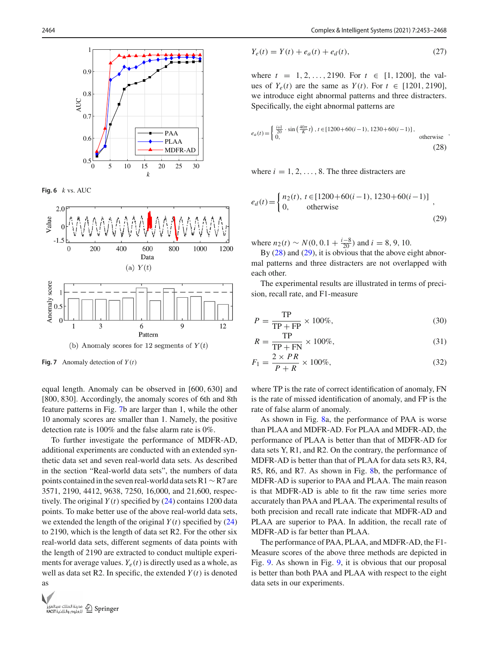

<span id="page-11-0"></span>**Fig. 6** *k* vs. AUC



<span id="page-11-1"></span>**Fig. 7** Anomaly detection of  $Y(t)$ 

equal length. Anomaly can be observed in [600, 630] and [800, 830]. Accordingly, the anomaly scores of 6th and 8th feature patterns in Fig. [7b](#page-11-1) are larger than 1, while the other 10 anomaly scores are smaller than 1. Namely, the positive detection rate is 100% and the false alarm rate is 0%.

To further investigate the performance of MDFR-AD, additional experiments are conducted with an extended synthetic data set and seven real-world data sets. As described in the section "Real-world data sets", the numbers of data points contained in the seven real-world data sets R1∼R7 are 3571, 2190, 4412, 9638, 7250, 16,000, and 21,600, respectively. The original  $Y(t)$  specified by  $(24)$  contains 1200 data points. To make better use of the above real-world data sets, we extended the length of the original  $Y(t)$  specified by  $(24)$ to 2190, which is the length of data set R2. For the other six real-world data sets, different segments of data points with the length of 2190 are extracted to conduct multiple experiments for average values.  $Y_e(t)$  is directly used as a whole, as well as data set R2. In specific, the extended  $Y(t)$  is denoted as



$$
Y_e(t) = Y(t) + e_a(t) + e_d(t),
$$
\n(27)

<span id="page-11-2"></span>where  $t = 1, 2, ..., 2190$ . For  $t \in [1, 1200]$ , the values of  $Y_e(t)$  are the same as  $Y(t)$ . For  $t \in [1201, 2190]$ , we introduce eight abnormal patterns and three distracters. Specifically, the eight abnormal patterns are

$$
e_a(t) = \begin{cases} \frac{i+1}{20} \cdot \sin\left(\frac{40\pi}{K}t\right), t \in [1200+60(i-1), 1230+60(i-1)], \\ 0, \end{cases}
$$
 otherwise (28)

<span id="page-11-3"></span>where  $i = 1, 2, \ldots, 8$ . The three distracters are

$$
e_d(t) = \begin{cases} n_2(t), \ t \in [1200 + 60(i - 1), \ 1230 + 60(i - 1)] \\ 0, \quad \text{otherwise} \end{cases}
$$
 (29)

where  $n_2(t) \sim N(0, 0.1 + \frac{i-8}{20})$  and  $i = 8, 9, 10$ .

By  $(28)$  and  $(29)$ , it is obvious that the above eight abnormal patterns and three distracters are not overlapped with each other.

The experimental results are illustrated in terms of precision, recall rate, and F1-measure

$$
P = \frac{\text{TP}}{\text{TP} + \text{FP}} \times 100\%,\tag{30}
$$

$$
R = \frac{\text{TP}}{\text{TP} + \text{FN}} \times 100\%,\tag{31}
$$

$$
F_1 = \frac{2 \times PR}{P + R} \times 100\%,\tag{32}
$$

where TP is the rate of correct identification of anomaly, FN is the rate of missed identification of anomaly, and FP is the rate of false alarm of anomaly.

As shown in Fig. [8a](#page-12-2), the performance of PAA is worse than PLAA and MDFR-AD. For PLAA and MDFR-AD, the performance of PLAA is better than that of MDFR-AD for data sets Y, R1, and R2. On the contrary, the performance of MDFR-AD is better than that of PLAA for data sets R3, R4, R5, R6, and R7. As shown in Fig. [8b](#page-12-2), the performance of MDFR-AD is superior to PAA and PLAA. The main reason is that MDFR-AD is able to fit the raw time series more accurately than PAA and PLAA. The experimental results of both precision and recall rate indicate that MDFR-AD and PLAA are superior to PAA. In addition, the recall rate of MDFR-AD is far better than PLAA.

The performance of PAA, PLAA, and MDFR-AD, the F1- Measure scores of the above three methods are depicted in Fig. [9.](#page-12-3) As shown in Fig. [9,](#page-12-3) it is obvious that our proposal is better than both PAA and PLAA with respect to the eight data sets in our experiments.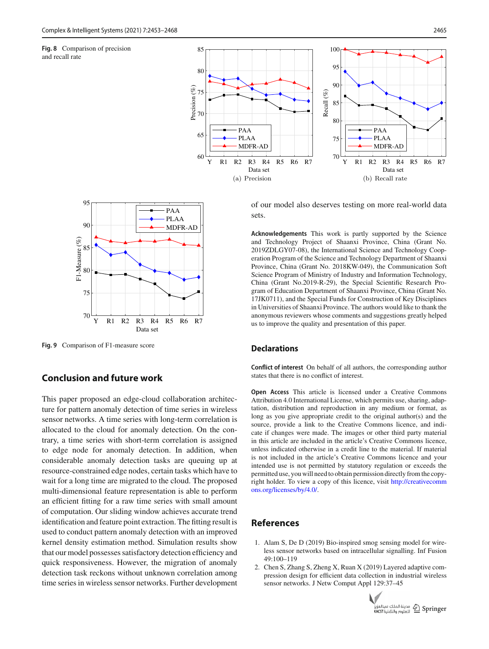<span id="page-12-2"></span>**Fig. 8** Comparison of precision and recall rate





<span id="page-12-3"></span>**Fig. 9** Comparison of F1-measure score

# **Conclusion and future work**

This paper proposed an edge-cloud collaboration architecture for pattern anomaly detection of time series in wireless sensor networks. A time series with long-term correlation is allocated to the cloud for anomaly detection. On the contrary, a time series with short-term correlation is assigned to edge node for anomaly detection. In addition, when considerable anomaly detection tasks are queuing up at resource-constrained edge nodes, certain tasks which have to wait for a long time are migrated to the cloud. The proposed multi-dimensional feature representation is able to perform an efficient fitting for a raw time series with small amount of computation. Our sliding window achieves accurate trend identification and feature point extraction. The fitting result is used to conduct pattern anomaly detection with an improved kernel density estimation method. Simulation results show that our model possesses satisfactory detection efficiency and quick responsiveness. However, the migration of anomaly detection task reckons without unknown correlation among time series in wireless sensor networks. Further development of our model also deserves testing on more real-world data sets.

**Acknowledgements** This work is partly supported by the Science and Technology Project of Shaanxi Province, China (Grant No. 2019ZDLGY07-08), the International Science and Technology Cooperation Program of the Science and Technology Department of Shaanxi Province, China (Grant No. 2018KW-049), the Communication Soft Science Program of Ministry of Industry and Information Technology, China (Grant No.2019-R-29), the Special Scientific Research Program of Education Department of Shaanxi Province, China (Grant No. 17JK0711), and the Special Funds for Construction of Key Disciplines in Universities of Shaanxi Province. The authors would like to thank the anonymous reviewers whose comments and suggestions greatly helped us to improve the quality and presentation of this paper.

## **Declarations**

**Conflict of interest** On behalf of all authors, the corresponding author states that there is no conflict of interest.

**Open Access** This article is licensed under a Creative Commons Attribution 4.0 International License, which permits use, sharing, adaptation, distribution and reproduction in any medium or format, as long as you give appropriate credit to the original author(s) and the source, provide a link to the Creative Commons licence, and indicate if changes were made. The images or other third party material in this article are included in the article's Creative Commons licence, unless indicated otherwise in a credit line to the material. If material is not included in the article's Creative Commons licence and your intended use is not permitted by statutory regulation or exceeds the permitted use, you will need to obtain permission directly from the copyright holder. To view a copy of this licence, visit [http://creativecomm](http://creativecommons.org/licenses/by/4.0/) [ons.org/licenses/by/4.0/.](http://creativecommons.org/licenses/by/4.0/)

# **References**

- <span id="page-12-0"></span>1. Alam S, De D (2019) Bio-inspired smog sensing model for wireless sensor networks based on intracellular signalling. Inf Fusion 49:100–119
- <span id="page-12-1"></span>2. Chen S, Zhang S, Zheng X, Ruan X (2019) Layered adaptive compression design for efficient data collection in industrial wireless sensor networks. J Netw Comput Appl 129:37–45

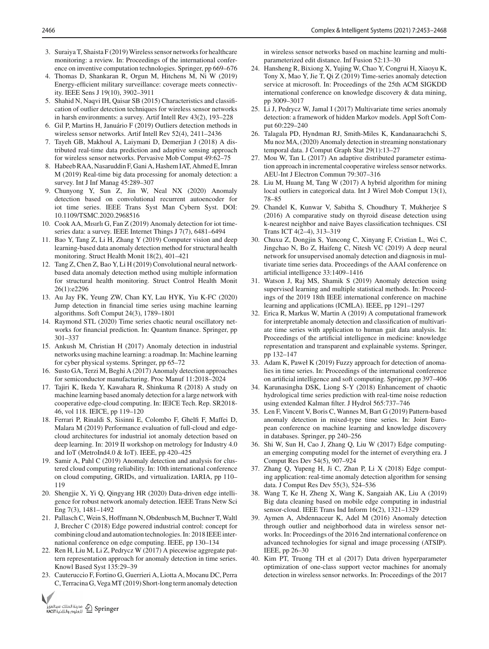- <span id="page-13-0"></span>3. Suraiya T, Shaista F (2019) Wireless sensor networks for healthcare monitoring: a review. In: Proceedings of the international conference on inventive computation technologies. Springer, pp 669–676
- <span id="page-13-1"></span>4. Thomas D, Shankaran R, Orgun M, Hitchens M, Ni W (2019) Energy-efficient military surveillance: coverage meets connectivity. IEEE Sens J 19(10), 3902–3911
- <span id="page-13-2"></span>5. Shahid N, Naqvi IH, Qaisar SB (2015) Characteristics and classification of outlier detection techniques for wireless sensor networks in harsh environments: a survey. Artif Intell Rev 43(2), 193–228
- <span id="page-13-3"></span>6. Gil P, Martins H, Januário F (2019) Outliers detection methods in wireless sensor networks. Artif Intell Rev 52(4), 2411–2436
- <span id="page-13-4"></span>7. Tayeh GB, Makhoul A, Laiymani D, Demerjian J (2018) A distributed real-time data prediction and adaptive sensing approach for wireless sensor networks. Pervasive Mob Comput 49:62–75
- <span id="page-13-5"></span>8. Habeeb RAA, Nasaruddin F, Gani A, Hashem IAT, Ahmed E, Imran M (2019) Real-time big data processing for anomaly detection: a survey. Int J Inf Manag 45:289–307
- <span id="page-13-6"></span>9. Chunyong Y, Sun Z, Jin W, Neal NX (2020) Anomaly detection based on convolutional recurrent autoencoder for iot time series. IEEE Trans Syst Man Cybern Syst. DOI: 10.1109/TSMC.2020.2968516
- <span id="page-13-7"></span>10. Cook AA, Mısırlı G, Fan Z (2019) Anomaly detection for iot timeseries data: a survey. IEEE Internet Things J 7(7), 6481–6494
- <span id="page-13-8"></span>11. Bao Y, Tang Z, Li H, Zhang Y (2019) Computer vision and deep learning-based data anomaly detection method for structural health monitoring. Struct Health Monit 18(2), 401–421
- <span id="page-13-9"></span>12. Tang Z, Chen Z, Bao Y, Li H (2019) Convolutional neural networkbased data anomaly detection method using multiple information for structural health monitoring. Struct Control Health Monit 26(1):e2296
- <span id="page-13-10"></span>13. Au Jay FK, Yeung ZW, Chan KY, Lau HYK, Yiu K-FC (2020) Jump detection in financial time series using machine learning algorithms. Soft Comput 24(3), 1789–1801
- <span id="page-13-11"></span>14. Raymond STL (2020) Time series chaotic neural oscillatory networks for financial prediction. In: Quantum finance. Springer, pp 301–337
- <span id="page-13-12"></span>15. Ankush M, Christian H (2017) Anomaly detection in industrial networks using machine learning: a roadmap. In: Machine learning for cyber physical systems. Springer, pp 65–72
- <span id="page-13-13"></span>16. Susto GA, Terzi M, Beghi A (2017) Anomaly detection approaches for semiconductor manufacturing. Proc Manuf 11:2018–2024
- <span id="page-13-14"></span>17. Tajiri K, Ikeda Y, Kawahara R, Shinkuma R (2018) A study on machine learning based anomaly detection for a large network with cooperative edge-cloud computing. In: IEICE Tech. Rep. SR2018- 46, vol 118. IEICE, pp 119–120
- <span id="page-13-15"></span>18. Ferrari P, Rinaldi S, Sisinni E, Colombo F, Ghelfi F, Maffei D, Malara M (2019) Performance evaluation of full-cloud and edgecloud architectures for industrial iot anomaly detection based on deep learning. In: 2019 II workshop on metrology for Industry 4.0 and IoT (MetroInd4.0 & IoT). IEEE, pp 420–425
- <span id="page-13-16"></span>19. Samir A, Pahl C (2019) Anomaly detection and analysis for clustered cloud computing reliability. In: 10th international conference on cloud computing, GRIDs, and virtualization. IARIA, pp 110– 119
- <span id="page-13-17"></span>20. Shengjie X, Yi Q, Qingyang HR (2020) Data-driven edge intelligence for robust network anomaly detection. IEEE Trans Netw Sci Eng 7(3), 1481–1492
- <span id="page-13-18"></span>21. Pallasch C, Wein S, Hoffmann N, Obdenbusch M, Buchner T, Waltl J, Brecher C (2018) Edge powered industrial control: concept for combining cloud and automation technologies. In: 2018 IEEE international conference on edge computing. IEEE, pp 130–134
- <span id="page-13-19"></span>22. Ren H, Liu M, Li Z, Pedrycz W (2017) A piecewise aggregate pattern representation approach for anomaly detection in time series. Knowl Based Syst 135:29–39
- <span id="page-13-20"></span>23. Cauteruccio F, Fortino G, Guerrieri A, Liotta A, Mocanu DC, Perra C, Terracina G, VegaMT (2019) Short-long term anomaly detection



in wireless sensor networks based on machine learning and multiparameterized edit distance. Inf Fusion 52:13–30

- <span id="page-13-21"></span>24. Hansheng R, Bixiong X, Yujing W, Chao Y, Congrui H, Xiaoyu K, Tony X, Mao Y, Jie T, Qi Z (2019) Time-series anomaly detection service at microsoft. In: Proceedings of the 25th ACM SIGKDD international conference on knowledge discovery & data mining, pp 3009–3017
- <span id="page-13-22"></span>25. Li J, Pedrycz W, Jamal I (2017) Multivariate time series anomaly detection: a framework of hidden Markov models. Appl Soft Comput 60:229–240
- <span id="page-13-23"></span>26. Talagala PD, Hyndman RJ, Smith-Miles K, Kandanaarachchi S, Mu noz MA, (2020) Anomaly detection in streaming nonstationary temporal data. J Comput Graph Stat 29(1):13–27
- <span id="page-13-24"></span>27. Mou W, Tan L (2017) An adaptive distributed parameter estimation approach in incremental cooperative wireless sensor networks. AEU-Int J Electron Commun 79:307–316
- <span id="page-13-25"></span>28. Liu M, Huang M, Tang W (2017) A hybrid algorithm for mining local outliers in categorical data. Int J Wirel Mob Comput 13(1), 78–85
- <span id="page-13-26"></span>29. Chandel K, Kunwar V, Sabitha S, Choudhury T, Mukherjee S (2016) A comparative study on thyroid disease detection using k-nearest neighbor and naive Bayes classification techniques. CSI Trans ICT 4(2–4), 313–319
- <span id="page-13-27"></span>30. Chuxu Z, Dongjin S, Yuncong C, Xinyang F, Cristian L, Wei C, Jingchao N, Bo Z, Haifeng C, Nitesh VC (2019) A deep neural network for unsupervised anomaly detection and diagnosis in multivariate time series data. Proceedings of the AAAI conference on artificial intelligence 33:1409–1416
- <span id="page-13-28"></span>31. Watson J, Raj MS, Shamik S (2019) Anomaly detection using supervised learning and multiple statistical methods. In: Proceedings of the 2019 18th IEEE international conference on machine learning and applications (ICMLA). IEEE, pp 1291–1297
- <span id="page-13-29"></span>32. Erica R, Markus W, Martin A (2019) A computational framework for interpretable anomaly detection and classification of multivariate time series with application to human gait data analysis. In: Proceedings of the artificial intelligence in medicine: knowledge representation and transparent and explainable systems. Springer, pp 132–147
- <span id="page-13-30"></span>33. Adam K, Paweł K (2019) Fuzzy approach for detection of anomalies in time series. In: Proceedings of the international conference on artificial intelligence and soft computing. Springer, pp 397–406
- <span id="page-13-31"></span>34. Karunasingha DSK, Liong S-Y (2018) Enhancement of chaotic hydrological time series prediction with real-time noise reduction using extended Kalman filter. J Hydrol 565:737–746
- <span id="page-13-32"></span>35. Len F, Vincent V, Boris C, Wannes M, Bart G (2019) Pattern-based anomaly detection in mixed-type time series. In: Joint European conference on machine learning and knowledge discovery in databases. Springer, pp 240–256
- <span id="page-13-33"></span>36. Shi W, Sun H, Cao J, Zhang Q, Liu W (2017) Edge computingan emerging computing model for the internet of everything era. J Comput Res Dev 54(5), 907–924
- <span id="page-13-34"></span>37. Zhang Q, Yupeng H, Ji C, Zhan P, Li X (2018) Edge computing application: real-time anomaly detection algorithm for sensing data. J Comput Res Dev 55(3), 524–536
- <span id="page-13-35"></span>38. Wang T, Ke H, Zheng X, Wang K, Sangaiah AK, Liu A (2019) Big data cleaning based on mobile edge computing in industrial sensor-cloud. IEEE Trans Ind Inform 16(2), 1321–1329
- <span id="page-13-36"></span>39. Aymen A, Abdennaceur K, Adel M (2016) Anomaly detection through outlier and neighborhood data in wireless sensor networks. In: Proceedings of the 2016 2nd international conference on advanced technologies for signal and image processing (ATSIP). IEEE, pp 26–30
- <span id="page-13-37"></span>40. Kim PT, Truong TH et al (2017) Data driven hyperparameter optimization of one-class support vector machines for anomaly detection in wireless sensor networks. In: Proceedings of the 2017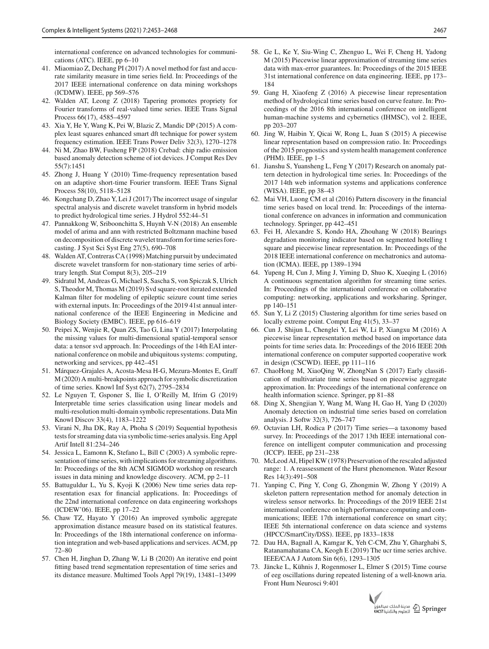international conference on advanced technologies for communications (ATC). IEEE, pp 6–10

- <span id="page-14-0"></span>41. Miaomiao Z, Dechang PI (2017) A novel method for fast and accurate similarity measure in time series field. In: Proceedings of the 2017 IEEE international conference on data mining workshops (ICDMW). IEEE, pp 569–576
- <span id="page-14-1"></span>42. Walden AT, Leong Z (2018) Tapering promotes propriety for Fourier transforms of real-valued time series. IEEE Trans Signal Process 66(17), 4585–4597
- <span id="page-14-2"></span>43. Xia Y, He Y, Wang K, Pei W, Blazic Z, Mandic DP (2015) A complex least squares enhanced smart dft technique for power system frequency estimation. IEEE Trans Power Deliv 32(3), 1270–1278
- <span id="page-14-3"></span>44. Ni M, Zhao BW, Fusheng FP (2018) Crebad: chip radio emission based anomaly detection scheme of iot devices. J Comput Res Dev 55(7):1451
- <span id="page-14-4"></span>45. Zhong J, Huang Y (2010) Time-frequency representation based on an adaptive short-time Fourier transform. IEEE Trans Signal Process 58(10), 5118–5128
- <span id="page-14-5"></span>46. Kongchang D, Zhao Y, Lei J (2017) The incorrect usage of singular spectral analysis and discrete wavelet transform in hybrid models to predict hydrological time series. J Hydrol 552:44–51
- <span id="page-14-6"></span>47. Pannakkong W, Sriboonchitta S, Huynh V-N (2018) An ensemble model of arima and ann with restricted Boltzmann machine based on decomposition of discrete wavelet transform for time series forecasting. J Syst Sci Syst Eng 27(5), 690–708
- <span id="page-14-7"></span>48. Walden AT, Contreras CA (1998) Matching pursuit by undecimated discrete wavelet transform for non-stationary time series of arbitrary length. Stat Comput 8(3), 205–219
- <span id="page-14-8"></span>49. Sidratul M, Andreas G, Michael S, Sascha S, von Spiczak S, Ulrich S, Theodor M, Thomas M (2019) Svd square-root iterated extended Kalman filter for modeling of epileptic seizure count time series with external inputs. In: Proceedings of the 2019 41st annual international conference of the IEEE Engineering in Medicine and Biology Society (EMBC). IEEE, pp 616–619
- <span id="page-14-9"></span>50. Peipei X, Wenjie R, Quan ZS, Tao G, Lina Y (2017) Interpolating the missing values for multi-dimensional spatial-temporal sensor data: a tensor svd approach. In: Proceedings of the 14th EAI international conference on mobile and ubiquitous systems: computing, networking and services, pp 442–451
- <span id="page-14-10"></span>51. Márquez-Grajales A, Acosta-Mesa H-G, Mezura-Montes E, Graff M (2020) A multi-breakpoints approach for symbolic discretization of time series. Knowl Inf Syst 62(7), 2795–2834
- 52. Le Nguyen T, Gsponer S, Ilie I, O'Reilly M, Ifrim G (2019) Interpretable time series classification using linear models and multi-resolution multi-domain symbolic representations. Data Min Knowl Discov 33(4), 1183–1222
- <span id="page-14-11"></span>53. Virani N, Jha DK, Ray A, Phoha S (2019) Sequential hypothesis tests for streaming data via symbolic time-series analysis. Eng Appl Artif Intell 81:234–246
- <span id="page-14-12"></span>54. Jessica L, Eamonn K, Stefano L, Bill C (2003) A symbolic representation of time series, with implications for streaming algorithms. In: Proceedings of the 8th ACM SIGMOD workshop on research issues in data mining and knowledge discovery. ACM, pp 2–11
- <span id="page-14-13"></span>55. Battuguldur L, Yu S, Kyoji K (2006) New time series data representation esax for financial applications. In: Proceedings of the 22nd international conference on data engineering workshops (ICDEW'06). IEEE, pp 17–22
- <span id="page-14-14"></span>56. Chaw TZ, Hayato Y (2016) An improved symbolic aggregate approximation distance measure based on its statistical features. In: Proceedings of the 18th international conference on information integration and web-based applications and services. ACM, pp 72–80
- <span id="page-14-15"></span>57. Chen H, Jinghan D, Zhang W, Li B (2020) An iterative end point fitting based trend segmentation representation of time series and its distance measure. Multimed Tools Appl 79(19), 13481–13499
- <span id="page-14-16"></span>58. Ge L, Ke Y, Siu-Wing C, Zhenguo L, Wei F, Cheng H, Yadong M (2015) Piecewise linear approximation of streaming time series data with max-error guarantees. In: Proceedings of the 2015 IEEE 31st international conference on data engineering. IEEE, pp 173– 184
- <span id="page-14-17"></span>59. Gang H, Xiaofeng Z (2016) A piecewise linear representation method of hydrological time series based on curve feature. In: Proceedings of the 2016 8th international conference on intelligent human-machine systems and cybernetics (IHMSC), vol 2. IEEE, pp 203–207
- <span id="page-14-18"></span>60. Jing W, Haibin Y, Qicai W, Rong L, Juan S (2015) A piecewise linear representation based on compression ratio. In: Proceedings of the 2015 prognostics and system health management conference (PHM). IEEE, pp 1–5
- <span id="page-14-19"></span>61. Jianshu S, Yuansheng L, Feng Y (2017) Research on anomaly pattern detection in hydrological time series. In: Proceedings of the 2017 14th web information systems and applications conference (WISA). IEEE, pp 38–43
- <span id="page-14-20"></span>62. Mai VH, Luong CM et al (2016) Pattern discovery in the financial time series based on local trend. In: Proceedings of the international conference on advances in information and communication technology. Springer, pp 442–451
- <span id="page-14-21"></span>63. Fei H, Alexandre S, Kondo HA, Zhouhang W (2018) Bearings degradation monitoring indicator based on segmented hotelling t square and piecewise linear representation. In: Proceedings of the 2018 IEEE international conference on mechatronics and automation (ICMA). IEEE, pp 1389–1394
- <span id="page-14-22"></span>64. Yupeng H, Cun J, Ming J, Yiming D, Shuo K, Xueqing L (2016) A continuous segmentation algorithm for streaming time series. In: Proceedings of the international conference on collaborative computing: networking, applications and worksharing. Springer, pp 140–151
- <span id="page-14-23"></span>65. Sun Y, Li Z (2015) Clustering algorithm for time series based on locally extreme point. Comput Eng 41(5), 33–37
- <span id="page-14-24"></span>66. Cun J, Shijun L, Chenglei Y, Lei W, Li P, Xiangxu M (2016) A piecewise linear representation method based on importance data points for time series data. In: Proceedings of the 2016 IEEE 20th international conference on computer supported cooperative work in design (CSCWD). IEEE, pp 111–116
- <span id="page-14-25"></span>67. ChaoHong M, XiaoQing W, ZhongNan S (2017) Early classification of multivariate time series based on piecewise aggregate approximation. In: Proceedings of the international conference on health information science. Springer, pp 81–88
- <span id="page-14-26"></span>68. Ding X, Shengjian Y, Wang M, Wang H, Gao H, Yang D (2020) Anomaly detection on industrial time series based on correlation analysis. J Softw 32(3), 726–747
- <span id="page-14-27"></span>69. Octavian LH, Rodica P (2017) Time series—a taxonomy based survey. In: Proceedings of the 2017 13th IEEE international conference on intelligent computer communication and processing (ICCP). IEEE, pp 231–238
- <span id="page-14-28"></span>70. McLeod AI, Hipel KW (1978) Preservation of the rescaled adjusted range: 1. A reassessment of the Hurst phenomenon. Water Resour Res 14(3):491–508
- <span id="page-14-29"></span>71. Yanping C, Ping Y, Cong G, Zhongmin W, Zhong Y (2019) A skeleton pattern representation method for anomaly detection in wireless sensor networks. In: Proceedings of the 2019 IEEE 21st international conference on high performance computing and communications; IEEE 17th international conference on smart city; IEEE 5th international conference on data science and systems (HPCC/SmartCity/DSS). IEEE, pp 1833–1838
- <span id="page-14-30"></span>72. Dau HA, Bagnall A, Kamgar K, Yeh C-CM, Zhu Y, Gharghabi S, Ratanamahatana CA, Keogh E (2019) The ucr time series archive. IEEE/CAA J Autom Sin 6(6), 1293–1305
- <span id="page-14-31"></span>73. Jäncke L, Kühnis J, Rogenmoser L, Elmer S (2015) Time course of eeg oscillations during repeated listening of a well-known aria. Front Hum Neurosci 9:401